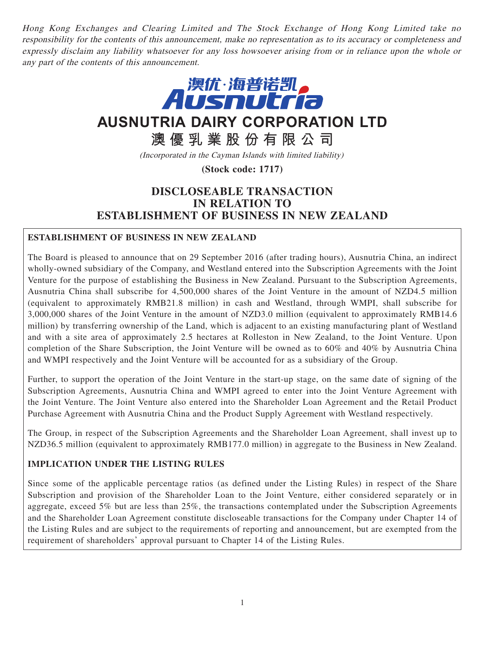Hong Kong Exchanges and Clearing Limited and The Stock Exchange of Hong Kong Limited take no responsibility for the contents of this announcement, make no representation as to its accuracy or completeness and expressly disclaim any liability whatsoever for any loss howsoever arising from or in reliance upon the whole or any part of the contents of this announcement.



**AUSNUTRIA DAIRY CORPORATION LTD**

**澳優乳業股份有限公司**

(Incorporated in the Cayman Islands with limited liability)

**(Stock code: 1717)**

# **DISCLOSEABLE TRANSACTION IN RELATION TO ESTABLISHMENT OF BUSINESS IN NEW ZEALAND**

# **ESTABLISHMENT OF BUSINESS IN NEW ZEALAND**

The Board is pleased to announce that on 29 September 2016 (after trading hours), Ausnutria China, an indirect wholly-owned subsidiary of the Company, and Westland entered into the Subscription Agreements with the Joint Venture for the purpose of establishing the Business in New Zealand. Pursuant to the Subscription Agreements, Ausnutria China shall subscribe for 4,500,000 shares of the Joint Venture in the amount of NZD4.5 million (equivalent to approximately RMB21.8 million) in cash and Westland, through WMPI, shall subscribe for 3,000,000 shares of the Joint Venture in the amount of NZD3.0 million (equivalent to approximately RMB14.6 million) by transferring ownership of the Land, which is adjacent to an existing manufacturing plant of Westland and with a site area of approximately 2.5 hectares at Rolleston in New Zealand, to the Joint Venture. Upon completion of the Share Subscription, the Joint Venture will be owned as to 60% and 40% by Ausnutria China and WMPI respectively and the Joint Venture will be accounted for as a subsidiary of the Group.

Further, to support the operation of the Joint Venture in the start-up stage, on the same date of signing of the Subscription Agreements, Ausnutria China and WMPI agreed to enter into the Joint Venture Agreement with the Joint Venture. The Joint Venture also entered into the Shareholder Loan Agreement and the Retail Product Purchase Agreement with Ausnutria China and the Product Supply Agreement with Westland respectively.

The Group, in respect of the Subscription Agreements and the Shareholder Loan Agreement, shall invest up to NZD36.5 million (equivalent to approximately RMB177.0 million) in aggregate to the Business in New Zealand.

# **IMPLICATION UNDER THE LISTING RULES**

Since some of the applicable percentage ratios (as defined under the Listing Rules) in respect of the Share Subscription and provision of the Shareholder Loan to the Joint Venture, either considered separately or in aggregate, exceed 5% but are less than 25%, the transactions contemplated under the Subscription Agreements and the Shareholder Loan Agreement constitute discloseable transactions for the Company under Chapter 14 of the Listing Rules and are subject to the requirements of reporting and announcement, but are exempted from the requirement of shareholders' approval pursuant to Chapter 14 of the Listing Rules.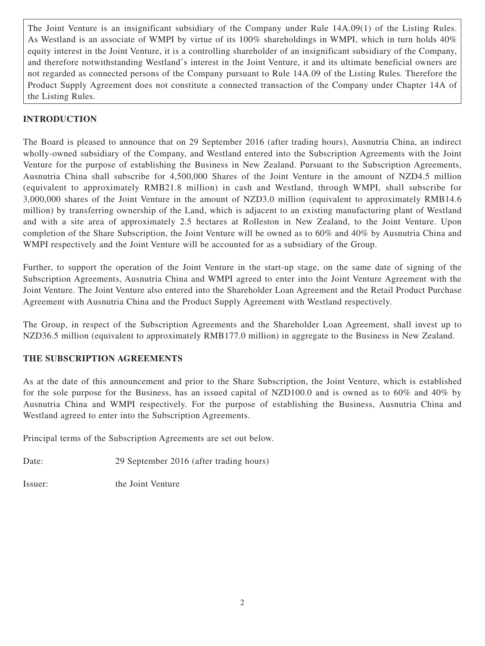The Joint Venture is an insignificant subsidiary of the Company under Rule 14A.09(1) of the Listing Rules. As Westland is an associate of WMPI by virtue of its 100% shareholdings in WMPI, which in turn holds 40% equity interest in the Joint Venture, it is a controlling shareholder of an insignificant subsidiary of the Company, and therefore notwithstanding Westland's interest in the Joint Venture, it and its ultimate beneficial owners are not regarded as connected persons of the Company pursuant to Rule 14A.09 of the Listing Rules. Therefore the Product Supply Agreement does not constitute a connected transaction of the Company under Chapter 14A of the Listing Rules.

# **INTRODUCTION**

The Board is pleased to announce that on 29 September 2016 (after trading hours), Ausnutria China, an indirect wholly-owned subsidiary of the Company, and Westland entered into the Subscription Agreements with the Joint Venture for the purpose of establishing the Business in New Zealand. Pursuant to the Subscription Agreements, Ausnutria China shall subscribe for 4,500,000 Shares of the Joint Venture in the amount of NZD4.5 million (equivalent to approximately RMB21.8 million) in cash and Westland, through WMPI, shall subscribe for 3,000,000 shares of the Joint Venture in the amount of NZD3.0 million (equivalent to approximately RMB14.6 million) by transferring ownership of the Land, which is adjacent to an existing manufacturing plant of Westland and with a site area of approximately 2.5 hectares at Rolleston in New Zealand, to the Joint Venture. Upon completion of the Share Subscription, the Joint Venture will be owned as to 60% and 40% by Ausnutria China and WMPI respectively and the Joint Venture will be accounted for as a subsidiary of the Group.

Further, to support the operation of the Joint Venture in the start-up stage, on the same date of signing of the Subscription Agreements, Ausnutria China and WMPI agreed to enter into the Joint Venture Agreement with the Joint Venture. The Joint Venture also entered into the Shareholder Loan Agreement and the Retail Product Purchase Agreement with Ausnutria China and the Product Supply Agreement with Westland respectively.

The Group, in respect of the Subscription Agreements and the Shareholder Loan Agreement, shall invest up to NZD36.5 million (equivalent to approximately RMB177.0 million) in aggregate to the Business in New Zealand.

# **THE SUBSCRIPTION AGREEMENTS**

As at the date of this announcement and prior to the Share Subscription, the Joint Venture, which is established for the sole purpose for the Business, has an issued capital of NZD100.0 and is owned as to 60% and 40% by Ausnutria China and WMPI respectively. For the purpose of establishing the Business, Ausnutria China and Westland agreed to enter into the Subscription Agreements.

Principal terms of the Subscription Agreements are set out below.

Date: 29 September 2016 (after trading hours)

Issuer: the Joint Venture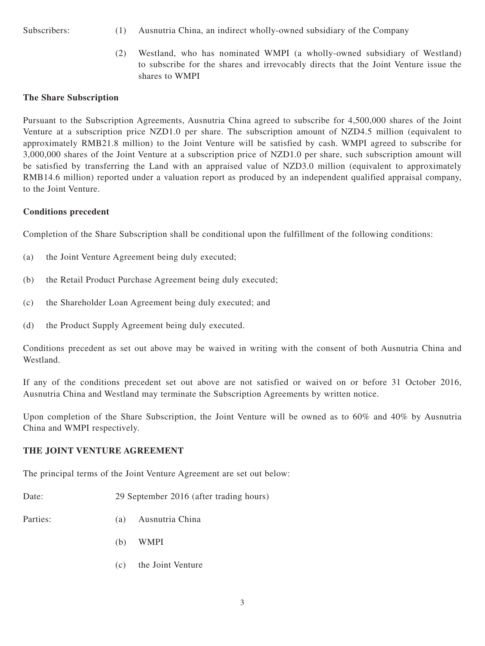- Subscribers: (1) Ausnutria China, an indirect wholly-owned subsidiary of the Company
	- (2) Westland, who has nominated WMPI (a wholly-owned subsidiary of Westland) to subscribe for the shares and irrevocably directs that the Joint Venture issue the shares to WMPI

### **The Share Subscription**

Pursuant to the Subscription Agreements, Ausnutria China agreed to subscribe for 4,500,000 shares of the Joint Venture at a subscription price NZD1.0 per share. The subscription amount of NZD4.5 million (equivalent to approximately RMB21.8 million) to the Joint Venture will be satisfied by cash. WMPI agreed to subscribe for 3,000,000 shares of the Joint Venture at a subscription price of NZD1.0 per share, such subscription amount will be satisfied by transferring the Land with an appraised value of NZD3.0 million (equivalent to approximately RMB14.6 million) reported under a valuation report as produced by an independent qualified appraisal company, to the Joint Venture.

### **Conditions precedent**

Completion of the Share Subscription shall be conditional upon the fulfillment of the following conditions:

- (a) the Joint Venture Agreement being duly executed;
- (b) the Retail Product Purchase Agreement being duly executed;
- (c) the Shareholder Loan Agreement being duly executed; and
- (d) the Product Supply Agreement being duly executed.

Conditions precedent as set out above may be waived in writing with the consent of both Ausnutria China and Westland.

If any of the conditions precedent set out above are not satisfied or waived on or before 31 October 2016, Ausnutria China and Westland may terminate the Subscription Agreements by written notice.

Upon completion of the Share Subscription, the Joint Venture will be owned as to 60% and 40% by Ausnutria China and WMPI respectively.

# **THE JOINT VENTURE AGREEMENT**

The principal terms of the Joint Venture Agreement are set out below:

Date: 29 September 2016 (after trading hours)

Parties: (a) Ausnutria China

- (b) WMPI
- (c) the Joint Venture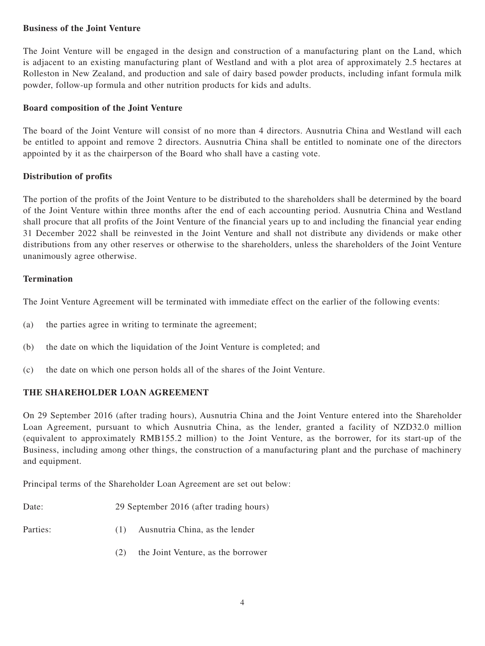### **Business of the Joint Venture**

The Joint Venture will be engaged in the design and construction of a manufacturing plant on the Land, which is adjacent to an existing manufacturing plant of Westland and with a plot area of approximately 2.5 hectares at Rolleston in New Zealand, and production and sale of dairy based powder products, including infant formula milk powder, follow-up formula and other nutrition products for kids and adults.

#### **Board composition of the Joint Venture**

The board of the Joint Venture will consist of no more than 4 directors. Ausnutria China and Westland will each be entitled to appoint and remove 2 directors. Ausnutria China shall be entitled to nominate one of the directors appointed by it as the chairperson of the Board who shall have a casting vote.

### **Distribution of profits**

The portion of the profits of the Joint Venture to be distributed to the shareholders shall be determined by the board of the Joint Venture within three months after the end of each accounting period. Ausnutria China and Westland shall procure that all profits of the Joint Venture of the financial years up to and including the financial year ending 31 December 2022 shall be reinvested in the Joint Venture and shall not distribute any dividends or make other distributions from any other reserves or otherwise to the shareholders, unless the shareholders of the Joint Venture unanimously agree otherwise.

#### **Termination**

The Joint Venture Agreement will be terminated with immediate effect on the earlier of the following events:

- (a) the parties agree in writing to terminate the agreement;
- (b) the date on which the liquidation of the Joint Venture is completed; and
- (c) the date on which one person holds all of the shares of the Joint Venture.

# **THE SHAREHOLDER LOAN AGREEMENT**

On 29 September 2016 (after trading hours), Ausnutria China and the Joint Venture entered into the Shareholder Loan Agreement, pursuant to which Ausnutria China, as the lender, granted a facility of NZD32.0 million (equivalent to approximately RMB155.2 million) to the Joint Venture, as the borrower, for its start-up of the Business, including among other things, the construction of a manufacturing plant and the purchase of machinery and equipment.

Principal terms of the Shareholder Loan Agreement are set out below:

Date: 29 September 2016 (after trading hours)

- 
- Parties: (1) Ausnutria China, as the lender
	- (2) the Joint Venture, as the borrower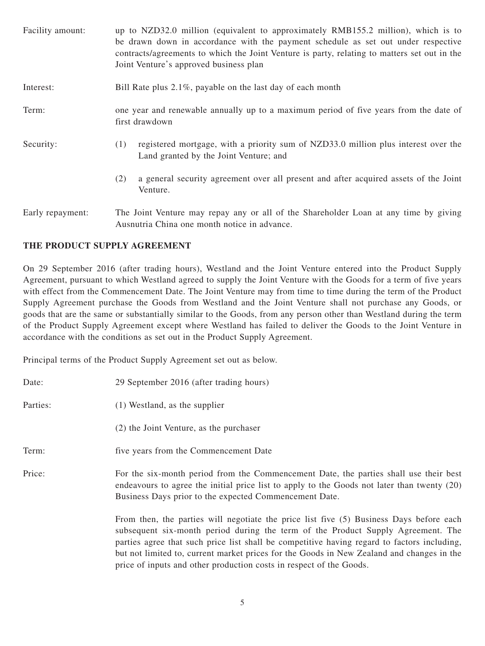| Facility amount: | up to NZD32.0 million (equivalent to approximately RMB155.2 million), which is to<br>be drawn down in accordance with the payment schedule as set out under respective<br>contracts/agreements to which the Joint Venture is party, relating to matters set out in the<br>Joint Venture's approved business plan |  |
|------------------|------------------------------------------------------------------------------------------------------------------------------------------------------------------------------------------------------------------------------------------------------------------------------------------------------------------|--|
| Interest:        | Bill Rate plus 2.1%, payable on the last day of each month                                                                                                                                                                                                                                                       |  |
| Term:            | one year and renewable annually up to a maximum period of five years from the date of<br>first drawdown                                                                                                                                                                                                          |  |
| Security:        | registered mortgage, with a priority sum of NZD33.0 million plus interest over the<br>(1)<br>Land granted by the Joint Venture; and                                                                                                                                                                              |  |
|                  | a general security agreement over all present and after acquired assets of the Joint<br>(2)<br>Venture.                                                                                                                                                                                                          |  |
| Early repayment: | The Joint Venture may repay any or all of the Shareholder Loan at any time by giving<br>Ausnutria China one month notice in advance.                                                                                                                                                                             |  |

#### **THE PRODUCT SUPPLY AGREEMENT**

On 29 September 2016 (after trading hours), Westland and the Joint Venture entered into the Product Supply Agreement, pursuant to which Westland agreed to supply the Joint Venture with the Goods for a term of five years with effect from the Commencement Date. The Joint Venture may from time to time during the term of the Product Supply Agreement purchase the Goods from Westland and the Joint Venture shall not purchase any Goods, or goods that are the same or substantially similar to the Goods, from any person other than Westland during the term of the Product Supply Agreement except where Westland has failed to deliver the Goods to the Joint Venture in accordance with the conditions as set out in the Product Supply Agreement.

Principal terms of the Product Supply Agreement set out as below.

| Date:    | 29 September 2016 (after trading hours)                                                                                                                                                                                                                                                                                                                                                                                                        |
|----------|------------------------------------------------------------------------------------------------------------------------------------------------------------------------------------------------------------------------------------------------------------------------------------------------------------------------------------------------------------------------------------------------------------------------------------------------|
| Parties: | $(1)$ Westland, as the supplier                                                                                                                                                                                                                                                                                                                                                                                                                |
|          | (2) the Joint Venture, as the purchaser                                                                                                                                                                                                                                                                                                                                                                                                        |
| Term:    | five years from the Commencement Date                                                                                                                                                                                                                                                                                                                                                                                                          |
| Price:   | For the six-month period from the Commencement Date, the parties shall use their best<br>endeavours to agree the initial price list to apply to the Goods not later than twenty (20)<br>Business Days prior to the expected Commencement Date.                                                                                                                                                                                                 |
|          | From then, the parties will negotiate the price list five (5) Business Days before each<br>subsequent six-month period during the term of the Product Supply Agreement. The<br>parties agree that such price list shall be competitive having regard to factors including,<br>but not limited to, current market prices for the Goods in New Zealand and changes in the<br>price of inputs and other production costs in respect of the Goods. |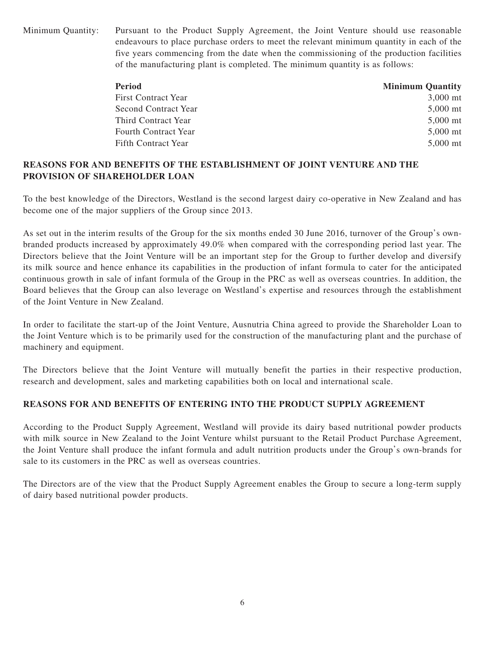Minimum Quantity: Pursuant to the Product Supply Agreement, the Joint Venture should use reasonable endeavours to place purchase orders to meet the relevant minimum quantity in each of the five years commencing from the date when the commissioning of the production facilities of the manufacturing plant is completed. The minimum quantity is as follows:

| <b>Period</b>               | <b>Minimum Quantity</b> |
|-----------------------------|-------------------------|
| <b>First Contract Year</b>  | $3,000$ mt              |
| Second Contract Year        | $5,000$ mt              |
| Third Contract Year         | $5,000$ mt              |
| <b>Fourth Contract Year</b> | $5.000$ mt              |
| Fifth Contract Year         | $5.000$ mt              |

# **REASONS FOR AND BENEFITS OF THE ESTABLISHMENT OF JOINT VENTURE AND THE PROVISION OF SHAREHOLDER LOAN**

To the best knowledge of the Directors, Westland is the second largest dairy co-operative in New Zealand and has become one of the major suppliers of the Group since 2013.

As set out in the interim results of the Group for the six months ended 30 June 2016, turnover of the Group's ownbranded products increased by approximately 49.0% when compared with the corresponding period last year. The Directors believe that the Joint Venture will be an important step for the Group to further develop and diversify its milk source and hence enhance its capabilities in the production of infant formula to cater for the anticipated continuous growth in sale of infant formula of the Group in the PRC as well as overseas countries. In addition, the Board believes that the Group can also leverage on Westland's expertise and resources through the establishment of the Joint Venture in New Zealand.

In order to facilitate the start-up of the Joint Venture, Ausnutria China agreed to provide the Shareholder Loan to the Joint Venture which is to be primarily used for the construction of the manufacturing plant and the purchase of machinery and equipment.

The Directors believe that the Joint Venture will mutually benefit the parties in their respective production, research and development, sales and marketing capabilities both on local and international scale.

# **REASONS FOR AND BENEFITS OF ENTERING INTO THE PRODUCT SUPPLY AGREEMENT**

According to the Product Supply Agreement, Westland will provide its dairy based nutritional powder products with milk source in New Zealand to the Joint Venture whilst pursuant to the Retail Product Purchase Agreement, the Joint Venture shall produce the infant formula and adult nutrition products under the Group's own-brands for sale to its customers in the PRC as well as overseas countries.

The Directors are of the view that the Product Supply Agreement enables the Group to secure a long-term supply of dairy based nutritional powder products.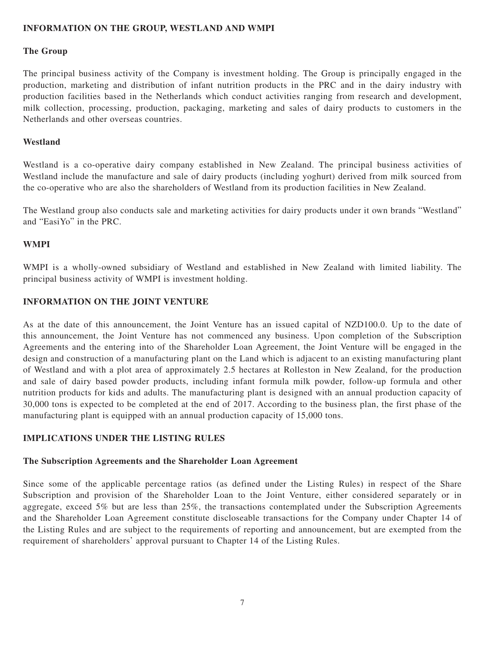#### **INFORMATION ON THE GROUP, WESTLAND AND WMPI**

#### **The Group**

The principal business activity of the Company is investment holding. The Group is principally engaged in the production, marketing and distribution of infant nutrition products in the PRC and in the dairy industry with production facilities based in the Netherlands which conduct activities ranging from research and development, milk collection, processing, production, packaging, marketing and sales of dairy products to customers in the Netherlands and other overseas countries.

#### **Westland**

Westland is a co-operative dairy company established in New Zealand. The principal business activities of Westland include the manufacture and sale of dairy products (including yoghurt) derived from milk sourced from the co-operative who are also the shareholders of Westland from its production facilities in New Zealand.

The Westland group also conducts sale and marketing activities for dairy products under it own brands "Westland" and "EasiYo" in the PRC.

#### **WMPI**

WMPI is a wholly-owned subsidiary of Westland and established in New Zealand with limited liability. The principal business activity of WMPI is investment holding.

### **INFORMATION ON THE JOINT VENTURE**

As at the date of this announcement, the Joint Venture has an issued capital of NZD100.0. Up to the date of this announcement, the Joint Venture has not commenced any business. Upon completion of the Subscription Agreements and the entering into of the Shareholder Loan Agreement, the Joint Venture will be engaged in the design and construction of a manufacturing plant on the Land which is adjacent to an existing manufacturing plant of Westland and with a plot area of approximately 2.5 hectares at Rolleston in New Zealand, for the production and sale of dairy based powder products, including infant formula milk powder, follow-up formula and other nutrition products for kids and adults. The manufacturing plant is designed with an annual production capacity of 30,000 tons is expected to be completed at the end of 2017. According to the business plan, the first phase of the manufacturing plant is equipped with an annual production capacity of 15,000 tons.

# **IMPLICATIONS UNDER THE LISTING RULES**

#### **The Subscription Agreements and the Shareholder Loan Agreement**

Since some of the applicable percentage ratios (as defined under the Listing Rules) in respect of the Share Subscription and provision of the Shareholder Loan to the Joint Venture, either considered separately or in aggregate, exceed 5% but are less than 25%, the transactions contemplated under the Subscription Agreements and the Shareholder Loan Agreement constitute discloseable transactions for the Company under Chapter 14 of the Listing Rules and are subject to the requirements of reporting and announcement, but are exempted from the requirement of shareholders' approval pursuant to Chapter 14 of the Listing Rules.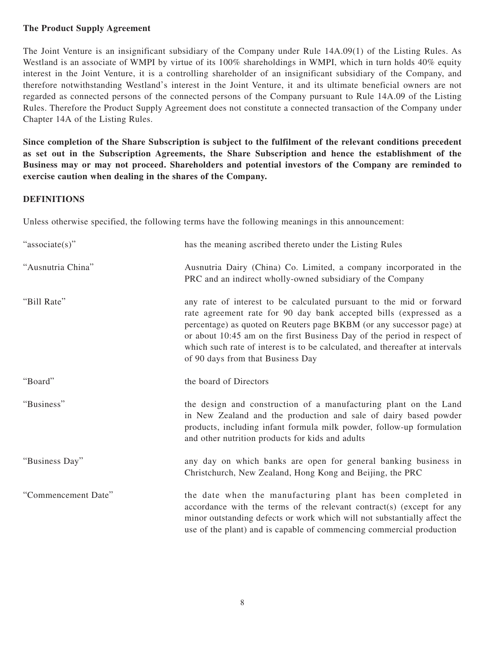#### **The Product Supply Agreement**

The Joint Venture is an insignificant subsidiary of the Company under Rule 14A.09(1) of the Listing Rules. As Westland is an associate of WMPI by virtue of its 100% shareholdings in WMPI, which in turn holds 40% equity interest in the Joint Venture, it is a controlling shareholder of an insignificant subsidiary of the Company, and therefore notwithstanding Westland's interest in the Joint Venture, it and its ultimate beneficial owners are not regarded as connected persons of the connected persons of the Company pursuant to Rule 14A.09 of the Listing Rules. Therefore the Product Supply Agreement does not constitute a connected transaction of the Company under Chapter 14A of the Listing Rules.

**Since completion of the Share Subscription is subject to the fulfilment of the relevant conditions precedent as set out in the Subscription Agreements, the Share Subscription and hence the establishment of the Business may or may not proceed. Shareholders and potential investors of the Company are reminded to exercise caution when dealing in the shares of the Company.**

#### **DEFINITIONS**

Unless otherwise specified, the following terms have the following meanings in this announcement:

| "associate(s)"      | has the meaning ascribed thereto under the Listing Rules                                                                                                                                                                                                                                                                                                                                                            |
|---------------------|---------------------------------------------------------------------------------------------------------------------------------------------------------------------------------------------------------------------------------------------------------------------------------------------------------------------------------------------------------------------------------------------------------------------|
| "Ausnutria China"   | Ausnutria Dairy (China) Co. Limited, a company incorporated in the<br>PRC and an indirect wholly-owned subsidiary of the Company                                                                                                                                                                                                                                                                                    |
| "Bill Rate"         | any rate of interest to be calculated pursuant to the mid or forward<br>rate agreement rate for 90 day bank accepted bills (expressed as a<br>percentage) as quoted on Reuters page BKBM (or any successor page) at<br>or about 10:45 am on the first Business Day of the period in respect of<br>which such rate of interest is to be calculated, and thereafter at intervals<br>of 90 days from that Business Day |
| "Board"             | the board of Directors                                                                                                                                                                                                                                                                                                                                                                                              |
| "Business"          | the design and construction of a manufacturing plant on the Land<br>in New Zealand and the production and sale of dairy based powder<br>products, including infant formula milk powder, follow-up formulation<br>and other nutrition products for kids and adults                                                                                                                                                   |
| "Business Day"      | any day on which banks are open for general banking business in<br>Christchurch, New Zealand, Hong Kong and Beijing, the PRC                                                                                                                                                                                                                                                                                        |
| "Commencement Date" | the date when the manufacturing plant has been completed in<br>accordance with the terms of the relevant contract(s) (except for any<br>minor outstanding defects or work which will not substantially affect the<br>use of the plant) and is capable of commencing commercial production                                                                                                                           |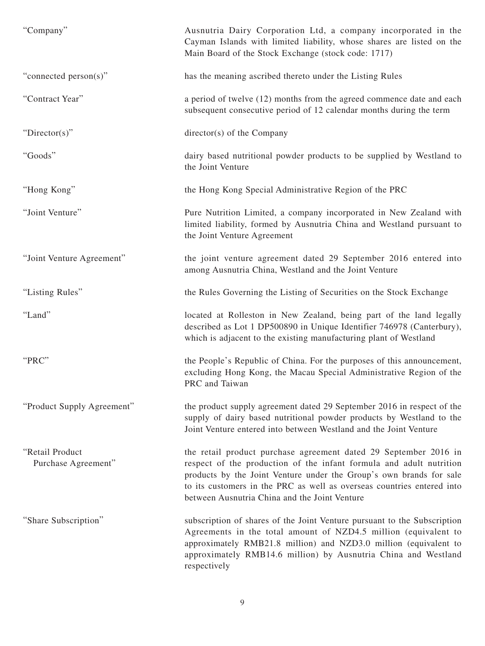| "Company"                              | Ausnutria Dairy Corporation Ltd, a company incorporated in the<br>Cayman Islands with limited liability, whose shares are listed on the<br>Main Board of the Stock Exchange (stock code: 1717)                                                                                                                                            |
|----------------------------------------|-------------------------------------------------------------------------------------------------------------------------------------------------------------------------------------------------------------------------------------------------------------------------------------------------------------------------------------------|
| "connected person(s)"                  | has the meaning ascribed thereto under the Listing Rules                                                                                                                                                                                                                                                                                  |
| "Contract Year"                        | a period of twelve (12) months from the agreed commence date and each<br>subsequent consecutive period of 12 calendar months during the term                                                                                                                                                                                              |
| "Director(s)"                          | director(s) of the Company                                                                                                                                                                                                                                                                                                                |
| "Goods"                                | dairy based nutritional powder products to be supplied by Westland to<br>the Joint Venture                                                                                                                                                                                                                                                |
| "Hong Kong"                            | the Hong Kong Special Administrative Region of the PRC                                                                                                                                                                                                                                                                                    |
| "Joint Venture"                        | Pure Nutrition Limited, a company incorporated in New Zealand with<br>limited liability, formed by Ausnutria China and Westland pursuant to<br>the Joint Venture Agreement                                                                                                                                                                |
| "Joint Venture Agreement"              | the joint venture agreement dated 29 September 2016 entered into<br>among Ausnutria China, Westland and the Joint Venture                                                                                                                                                                                                                 |
| "Listing Rules"                        | the Rules Governing the Listing of Securities on the Stock Exchange                                                                                                                                                                                                                                                                       |
| "Land"                                 | located at Rolleston in New Zealand, being part of the land legally<br>described as Lot 1 DP500890 in Unique Identifier 746978 (Canterbury),<br>which is adjacent to the existing manufacturing plant of Westland                                                                                                                         |
| "PRC"                                  | the People's Republic of China. For the purposes of this announcement,<br>excluding Hong Kong, the Macau Special Administrative Region of the<br>PRC and Taiwan                                                                                                                                                                           |
| "Product Supply Agreement"             | the product supply agreement dated 29 September 2016 in respect of the<br>supply of dairy based nutritional powder products by Westland to the<br>Joint Venture entered into between Westland and the Joint Venture                                                                                                                       |
| "Retail Product<br>Purchase Agreement" | the retail product purchase agreement dated 29 September 2016 in<br>respect of the production of the infant formula and adult nutrition<br>products by the Joint Venture under the Group's own brands for sale<br>to its customers in the PRC as well as overseas countries entered into<br>between Ausnutria China and the Joint Venture |
| "Share Subscription"                   | subscription of shares of the Joint Venture pursuant to the Subscription<br>Agreements in the total amount of NZD4.5 million (equivalent to<br>approximately RMB21.8 million) and NZD3.0 million (equivalent to<br>approximately RMB14.6 million) by Ausnutria China and Westland<br>respectively                                         |